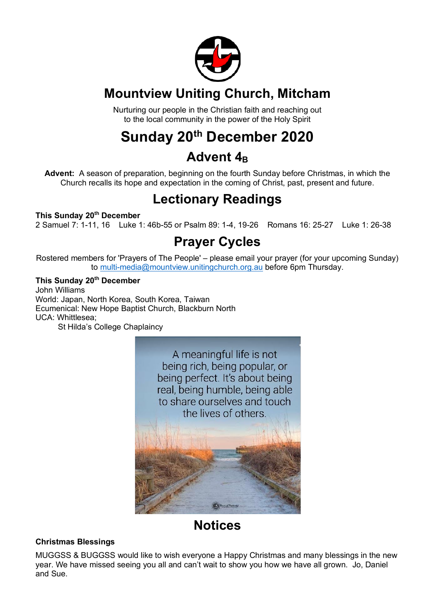

## **Mountview Uniting Church, Mitcham**

Nurturing our people in the Christian faith and reaching out to the local community in the power of the Holy Spirit

## **Sunday 20th December 2020**

## Advent 4<sub>B</sub>

**Advent:** A season of preparation, beginning on the fourth Sunday before Christmas, in which the Church recalls its hope and expectation in the coming of Christ, past, present and future.

## **Lectionary Readings**

#### **This Sunday 20th December**

2 Samuel 7: 1-11, 16 Luke 1: 46b-55 or Psalm 89: 1-4, 19-26 Romans 16: 25-27 Luke 1: 26-38

## **Prayer Cycles**

Rostered members for 'Prayers of The People' – please email your prayer (for your upcoming Sunday) to multi-media@mountview.unitingchurch.org.au before 6pm Thursday.

#### **This Sunday 20th December**

John Williams World: Japan, North Korea, South Korea, Taiwan Ecumenical: New Hope Baptist Church, Blackburn North UCA: Whittlesea; St Hilda's College Chaplaincy

> A meaningful life is not being rich, being popular, or being perfect. It's about being real, being humble, being able to share ourselves and touch the lives of others

## **Notices**

#### **Christmas Blessings**

MUGGSS & BUGGSS would like to wish everyone a Happy Christmas and many blessings in the new year. We have missed seeing you all and can't wait to show you how we have all grown. Jo, Daniel and Sue.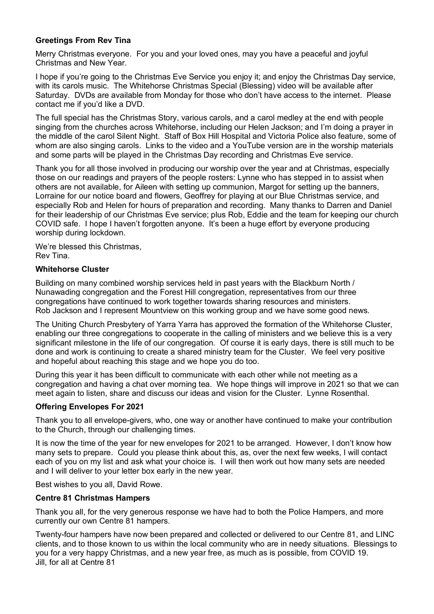#### **Greetings From Rev Tina**

Merry Christmas everyone. For you and your loved ones, may you have a peaceful and joyful Christmas and New Year.

I hope if you're going to the Christmas Eve Service you enjoy it; and enjoy the Christmas Day service, with its carols music. The Whitehorse Christmas Special (Blessing) video will be available after Saturday. DVDs are available from Monday for those who don't have access to the internet. Please contact me if you'd like a DVD.

The full special has the Christmas Story, various carols, and a carol medley at the end with people singing from the churches across Whitehorse, including our Helen Jackson; and I'm doing a prayer in the middle of the carol Silent Night. Staff of Box Hill Hospital and Victoria Police also feature, some of whom are also singing carols. Links to the video and a YouTube version are in the worship materials and some parts will be played in the Christmas Day recording and Christmas Eve service.

Thank you for all those involved in producing our worship over the year and at Christmas, especially those on our readings and prayers of the people rosters: Lynne who has stepped in to assist when others are not available, for Aileen with setting up communion, Margot for setting up the banners, Lorraine for our notice board and flowers, Geoffrey for playing at our Blue Christmas service, and especially Rob and Helen for hours of preparation and recording. Many thanks to Darren and Daniel for their leadership of our Christmas Eve service; plus Rob, Eddie and the team for keeping our church COVID safe. I hope I haven't forgotten anyone. It's been a huge effort by everyone producing worship during lockdown.

We're blessed this Christmas, Rev Tina.

#### **Whitehorse Cluster**

Building on many combined worship services held in past years with the Blackburn North / Nunawading congregation and the Forest Hill congregation, representatives from our three congregations have continued to work together towards sharing resources and ministers. Rob Jackson and I represent Mountview on this working group and we have some good news.

The Uniting Church Presbytery of Yarra Yarra has approved the formation of the Whitehorse Cluster, enabling our three congregations to cooperate in the calling of ministers and we believe this is a very significant milestone in the life of our congregation. Of course it is early days, there is still much to be done and work is continuing to create a shared ministry team for the Cluster. We feel very positive and hopeful about reaching this stage and we hope you do too.

During this year it has been difficult to communicate with each other while not meeting as a congregation and having a chat over morning tea. We hope things will improve in 2021 so that we can meet again to listen, share and discuss our ideas and vision for the Cluster. Lynne Rosenthal.

#### **Offering Envelopes For 2021**

Thank you to all envelope-givers, who, one way or another have continued to make your contribution to the Church, through our challenging times.

It is now the time of the year for new envelopes for 2021 to be arranged. However, I don't know how many sets to prepare. Could you please think about this, as, over the next few weeks, I will contact each of you on my list and ask what your choice is. I will then work out how many sets are needed and I will deliver to your letter box early in the new year.

Best wishes to you all, David Rowe.

#### **Centre 81 Christmas Hampers**

Thank you all, for the very generous response we have had to both the Police Hampers, and more currently our own Centre 81 hampers.

Twenty-four hampers have now been prepared and collected or delivered to our Centre 81, and LINC clients, and to those known to us within the local community who are in needy situations. Blessings to you for a very happy Christmas, and a new year free, as much as is possible, from COVID 19. Jill, for all at Centre 81